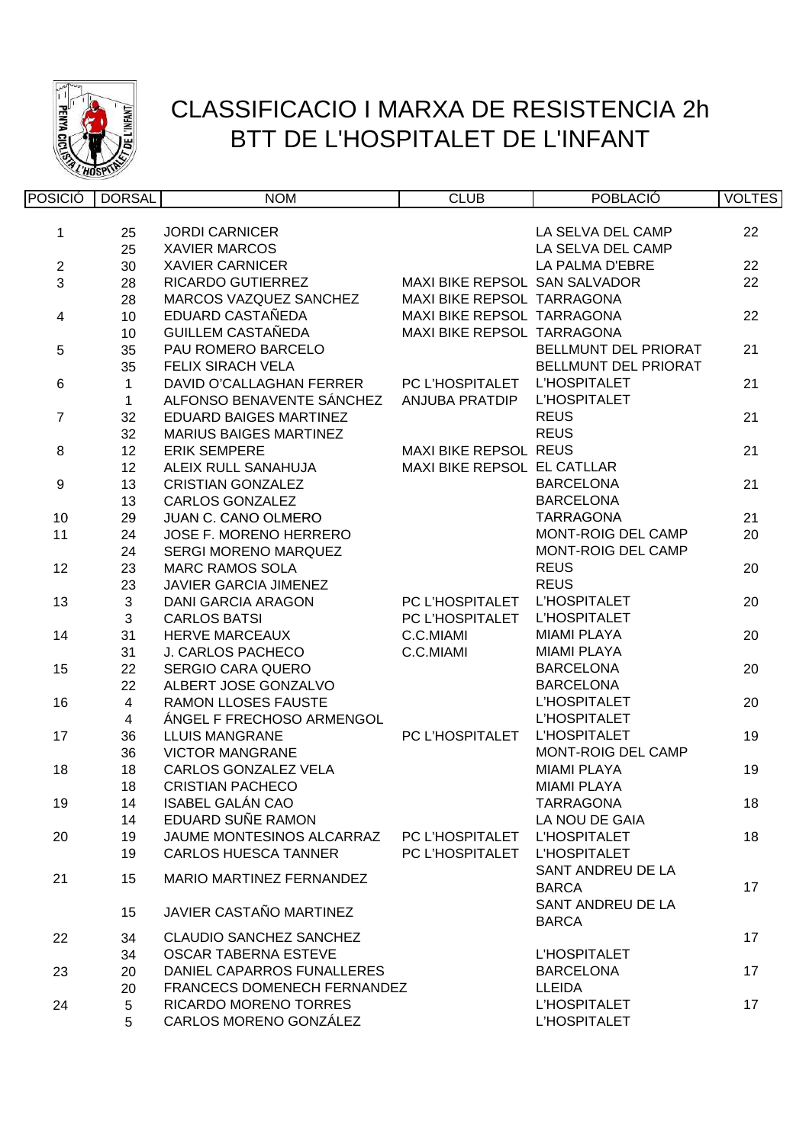

## CLASSIFICACIO I MARXA DE RESISTENCIA 2h BTT DE L'HOSPITALET DE L'INFANT

| <b>POSICIÓ</b>   | <b>DORSAL</b>  | <b>NOM</b>                     | <b>CLUB</b>                   | <b>POBLACIÓ</b>             | <b>VOLTES</b> |
|------------------|----------------|--------------------------------|-------------------------------|-----------------------------|---------------|
|                  |                |                                |                               |                             |               |
| 1                | 25             | <b>JORDI CARNICER</b>          |                               | LA SELVA DEL CAMP           | 22            |
|                  | 25             | <b>XAVIER MARCOS</b>           |                               | LA SELVA DEL CAMP           |               |
| $\boldsymbol{2}$ | 30             | <b>XAVIER CARNICER</b>         |                               | LA PALMA D'EBRE             | 22            |
| 3                | 28             | RICARDO GUTIERREZ              | MAXI BIKE REPSOL SAN SALVADOR |                             | 22            |
|                  | 28             | MARCOS VAZQUEZ SANCHEZ         | MAXI BIKE REPSOL TARRAGONA    |                             |               |
| 4                | 10             | EDUARD CASTAÑEDA               | MAXI BIKE REPSOL TARRAGONA    |                             | 22            |
|                  | 10             | <b>GUILLEM CASTAÑEDA</b>       | MAXI BIKE REPSOL TARRAGONA    |                             |               |
| $\overline{5}$   | 35             | PAU ROMERO BARCELO             |                               | BELLMUNT DEL PRIORAT        | 21            |
|                  | 35             | FELIX SIRACH VELA              |                               | <b>BELLMUNT DEL PRIORAT</b> |               |
| $\,6\,$          | $\mathbf{1}$   | DAVID O'CALLAGHAN FERRER       | PC L'HOSPITALET               | L'HOSPITALET                | 21            |
|                  | $\mathbf{1}$   | ALFONSO BENAVENTE SÁNCHEZ      | ANJUBA PRATDIP                | L'HOSPITALET                |               |
| $\overline{7}$   | 32             | EDUARD BAIGES MARTINEZ         |                               | <b>REUS</b>                 | 21            |
|                  | 32             | <b>MARIUS BAIGES MARTINEZ</b>  |                               | <b>REUS</b>                 |               |
| $\bf 8$          | 12             | <b>ERIK SEMPERE</b>            | <b>MAXI BIKE REPSOL REUS</b>  |                             | 21            |
|                  | 12             | ALEIX RULL SANAHUJA            | MAXI BIKE REPSOL EL CATLLAR   |                             |               |
| $\boldsymbol{9}$ | 13             | <b>CRISTIAN GONZALEZ</b>       |                               | <b>BARCELONA</b>            | 21            |
|                  | 13             | <b>CARLOS GONZALEZ</b>         |                               | <b>BARCELONA</b>            |               |
| 10               | 29             | <b>JUAN C. CANO OLMERO</b>     |                               | <b>TARRAGONA</b>            | 21            |
| 11               | 24             | JOSE F. MORENO HERRERO         |                               | MONT-ROIG DEL CAMP          | 20            |
|                  | 24             | SERGI MORENO MARQUEZ           |                               | MONT-ROIG DEL CAMP          |               |
| 12               | 23             | <b>MARC RAMOS SOLA</b>         |                               | <b>REUS</b>                 | 20            |
|                  | 23             | <b>JAVIER GARCIA JIMENEZ</b>   |                               | <b>REUS</b>                 |               |
| 13               | $\sqrt{3}$     | <b>DANI GARCIA ARAGON</b>      | PC L'HOSPITALET               | L'HOSPITALET                | 20            |
|                  | $\mathbf{3}$   | <b>CARLOS BATSI</b>            | PC L'HOSPITALET               | L'HOSPITALET                |               |
| 14               | 31             | <b>HERVE MARCEAUX</b>          | C.C.MIAMI                     | <b>MIAMI PLAYA</b>          | 20            |
|                  | 31             | J. CARLOS PACHECO              | C.C.MIAMI                     | <b>MIAMI PLAYA</b>          |               |
| 15               | 22             | SERGIO CARA QUERO              |                               | <b>BARCELONA</b>            | 20            |
|                  | 22             | ALBERT JOSE GONZALVO           |                               | <b>BARCELONA</b>            |               |
| 16               | $\overline{4}$ | <b>RAMON LLOSES FAUSTE</b>     |                               | L'HOSPITALET                | 20            |
|                  | $\overline{4}$ | ÁNGEL F FRECHOSO ARMENGOL      |                               | L'HOSPITALET                |               |
| 17               | 36             | <b>LLUIS MANGRANE</b>          | PC L'HOSPITALET               | <b>L'HOSPITALET</b>         | 19            |
|                  | 36             | <b>VICTOR MANGRANE</b>         |                               | <b>MONT-ROIG DEL CAMP</b>   |               |
| 18               | 18             | CARLOS GONZALEZ VELA           |                               | <b>MIAMI PLAYA</b>          | 19            |
|                  | 18             | <b>CRISTIAN PACHECO</b>        |                               | <b>MIAMI PLAYA</b>          |               |
| 19               | 14             | <b>ISABEL GALÁN CAO</b>        |                               | <b>TARRAGONA</b>            | 18            |
|                  | 14             | EDUARD SUÑE RAMON              |                               | LA NOU DE GAIA              |               |
| 20               | 19             | JAUME MONTESINOS ALCARRAZ      | PC L'HOSPITALET               | <b>L'HOSPITALET</b>         | 18            |
|                  | 19             | <b>CARLOS HUESCA TANNER</b>    | PC L'HOSPITALET               | <b>L'HOSPITALET</b>         |               |
| 21               | 15             | MARIO MARTINEZ FERNANDEZ       |                               | SANT ANDREU DE LA           |               |
|                  |                |                                |                               | <b>BARCA</b>                | 17            |
|                  | 15             | JAVIER CASTAÑO MARTINEZ        |                               | SANT ANDREU DE LA           |               |
|                  |                |                                |                               | <b>BARCA</b>                |               |
| 22               | 34             | <b>CLAUDIO SANCHEZ SANCHEZ</b> |                               |                             | 17            |
|                  | 34             | <b>OSCAR TABERNA ESTEVE</b>    |                               | <b>L'HOSPITALET</b>         |               |
| 23               | 20             | DANIEL CAPARROS FUNALLERES     |                               | <b>BARCELONA</b>            | 17            |
|                  | 20             | FRANCECS DOMENECH FERNANDEZ    |                               | <b>LLEIDA</b>               |               |
| 24               | 5              | <b>RICARDO MORENO TORRES</b>   |                               | L'HOSPITALET                | 17            |
|                  | 5              | CARLOS MORENO GONZÁLEZ         |                               | L'HOSPITALET                |               |